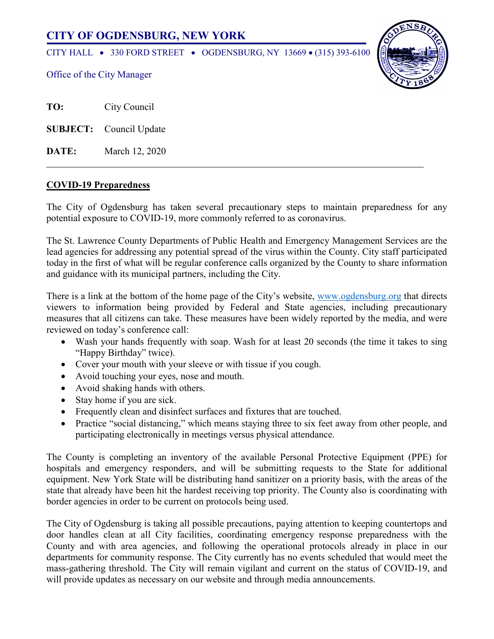# **CITY OF OGDENSBURG, NEW YORK**

CITY HALL • 330 FORD STREET • OGDENSBURG, NY 13669 • (315) 393-6100



Office of the City Manager

**TO:** City Council

**SUBJECT:** Council Update

**DATE:** March 12, 2020

# **COVID-19 Preparedness**

The City of Ogdensburg has taken several precautionary steps to maintain preparedness for any potential exposure to COVID-19, more commonly referred to as coronavirus.

The St. Lawrence County Departments of Public Health and Emergency Management Services are the lead agencies for addressing any potential spread of the virus within the County. City staff participated today in the first of what will be regular conference calls organized by the County to share information and guidance with its municipal partners, including the City.

There is a link at the bottom of the home page of the City's website, [www.ogdensburg.org](http://www.ogdensburg.org/) that directs viewers to information being provided by Federal and State agencies, including precautionary measures that all citizens can take. These measures have been widely reported by the media, and were reviewed on today's conference call:

- Wash your hands frequently with soap. Wash for at least 20 seconds (the time it takes to sing "Happy Birthday" twice).
- Cover your mouth with your sleeve or with tissue if you cough.
- Avoid touching your eyes, nose and mouth.
- Avoid shaking hands with others.
- Stay home if you are sick.
- Frequently clean and disinfect surfaces and fixtures that are touched.
- Practice "social distancing," which means staying three to six feet away from other people, and participating electronically in meetings versus physical attendance.

The County is completing an inventory of the available Personal Protective Equipment (PPE) for hospitals and emergency responders, and will be submitting requests to the State for additional equipment. New York State will be distributing hand sanitizer on a priority basis, with the areas of the state that already have been hit the hardest receiving top priority. The County also is coordinating with border agencies in order to be current on protocols being used.

The City of Ogdensburg is taking all possible precautions, paying attention to keeping countertops and door handles clean at all City facilities, coordinating emergency response preparedness with the County and with area agencies, and following the operational protocols already in place in our departments for community response. The City currently has no events scheduled that would meet the mass-gathering threshold. The City will remain vigilant and current on the status of COVID-19, and will provide updates as necessary on our website and through media announcements.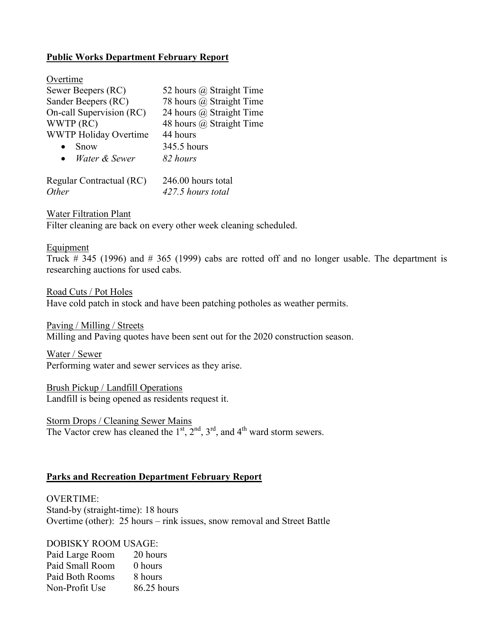# **Public Works Department February Report**

| Overtime                     |                          |
|------------------------------|--------------------------|
| Sewer Beepers (RC)           | 52 hours @ Straight Time |
| Sander Beepers (RC)          | 78 hours @ Straight Time |
| On-call Supervision (RC)     | 24 hours @ Straight Time |
| WWTP (RC)                    | 48 hours @ Straight Time |
| <b>WWTP Holiday Overtime</b> | 44 hours                 |
| Snow                         | 345.5 hours              |
| Water & Sewer<br>$\bullet$   | 82 hours                 |
| Regular Contractual (RC)     | 246.00 hours total       |

*Other 427.5 hours total*

Water Filtration Plant Filter cleaning are back on every other week cleaning scheduled.

#### Equipment

Truck # 345 (1996) and # 365 (1999) cabs are rotted off and no longer usable. The department is researching auctions for used cabs.

Road Cuts / Pot Holes Have cold patch in stock and have been patching potholes as weather permits.

Paving / Milling / Streets Milling and Paving quotes have been sent out for the 2020 construction season.

Water / Sewer Performing water and sewer services as they arise.

Brush Pickup / Landfill Operations Landfill is being opened as residents request it.

Storm Drops / Cleaning Sewer Mains The Vactor crew has cleaned the  $1<sup>st</sup>$ ,  $2<sup>nd</sup>$ ,  $3<sup>rd</sup>$ , and  $4<sup>th</sup>$  ward storm sewers.

### **Parks and Recreation Department February Report**

OVERTIME: Stand-by (straight-time): 18 hours Overtime (other): 25 hours – rink issues, snow removal and Street Battle

### DOBISKY ROOM USAGE:

Paid Large Room 20 hours Paid Small Room 0 hours Paid Both Rooms 8 hours Non-Profit Use 86.25 hours